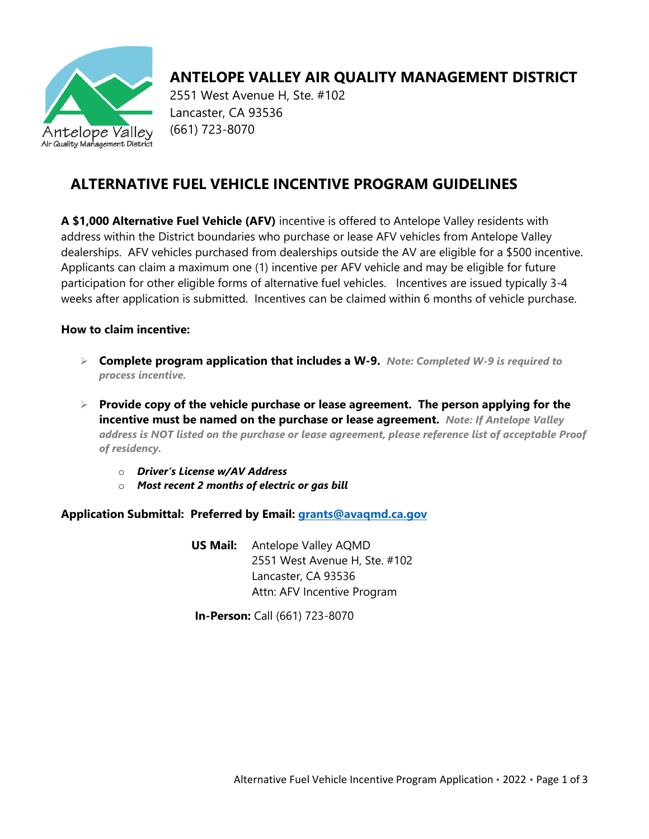

# **ANTELOPE VALLEY AIR QUALITY MANAGEMENT DISTRICT**

2551 West Avenue H, Ste. #102 Lancaster, CA 93536 (661) 723-8070

## **ALTERNATIVE FUEL VEHICLE INCENTIVE PROGRAM GUIDELINES**

**A \$1,000 Alternative Fuel Vehicle (AFV)** incentive is offered to Antelope Valley residents with address within the District boundaries who purchase or lease AFV vehicles from Antelope Valley dealerships. AFV vehicles purchased from dealerships outside the AV are eligible for a \$500 incentive. Applicants can claim a maximum one (1) incentive per AFV vehicle and may be eligible for future participation for other eligible forms of alternative fuel vehicles. Incentives are issued typically 3-4 weeks after application is submitted. Incentives can be claimed within 6 months of vehicle purchase.

### **How to claim incentive:**

- **Complete program application that includes a W-9.** *Note: Completed W-9 is required to process incentive.*
- **Provide copy of the vehicle purchase or lease agreement. The person applying for the incentive must be named on the purchase or lease agreement.** *Note: If Antelope Valley address is NOT listed on the purchase or lease agreement, please reference list of acceptable Proof of residency.*
	- o *Driver's License w/AV Address*
	- o *Most recent 2 months of electric or gas bill*

## **Application Submittal: Preferred by Email: [grants@avaqmd.ca.gov](mailto:grants@avaqmd.ca.gov)**

 **US Mail:** Antelope Valley AQMD 2551 West Avenue H, Ste. #102 Lancaster, CA 93536 Attn: AFV Incentive Program

**In-Person:** Call (661) 723-8070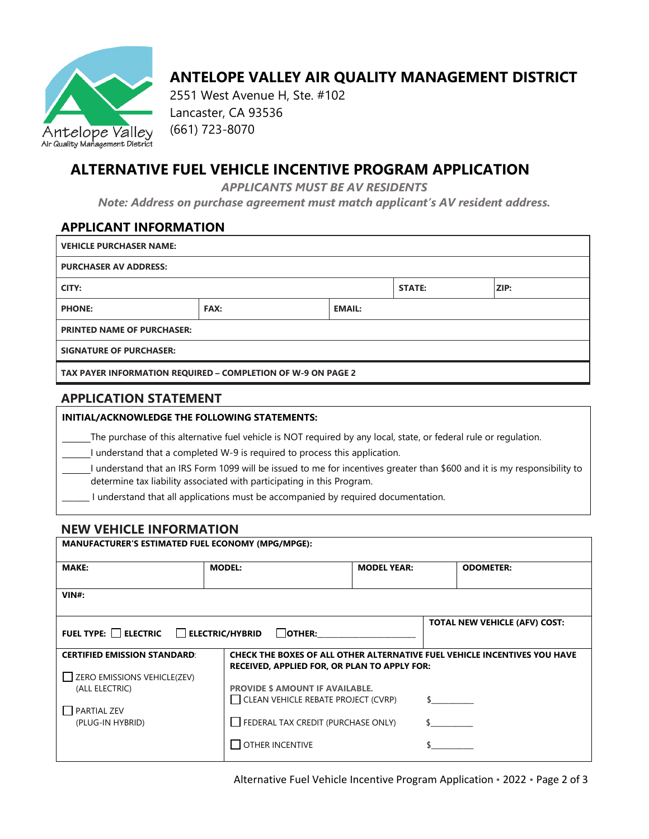

## **ANTELOPE VALLEY AIR QUALITY MANAGEMENT DISTRICT**

2551 West Avenue H, Ste. #102 Lancaster, CA 93536 (661) 723-8070

## **ALTERNATIVE FUEL VEHICLE INCENTIVE PROGRAM APPLICATION**

*APPLICANTS MUST BE AV RESIDENTS*

*Note: Address on purchase agreement must match applicant's AV resident address.*

#### **APPLICANT INFORMATION**

| <b>VEHICLE PURCHASER NAME:</b>                               |             |               |               |             |
|--------------------------------------------------------------|-------------|---------------|---------------|-------------|
| <b>PURCHASER AV ADDRESS:</b>                                 |             |               |               |             |
| CITY:                                                        |             |               | <b>STATE:</b> | <b>ZIP:</b> |
| <b>PHONE:</b>                                                | <b>FAX:</b> | <b>EMAIL:</b> |               |             |
| <b>PRINTED NAME OF PURCHASER:</b>                            |             |               |               |             |
| <b>SIGNATURE OF PURCHASER:</b>                               |             |               |               |             |
| TAX PAYER INFORMATION REQUIRED – COMPLETION OF W-9 ON PAGE 2 |             |               |               |             |

### **APPLICATION STATEMENT**

| INITIAL/ACKNOWLEDGE THE FOLLOWING STATEMENTS:                                                                                                                                                      |
|----------------------------------------------------------------------------------------------------------------------------------------------------------------------------------------------------|
| The purchase of this alternative fuel vehicle is NOT required by any local, state, or federal rule or regulation.                                                                                  |
| I understand that a completed W-9 is required to process this application.                                                                                                                         |
| I understand that an IRS Form 1099 will be issued to me for incentives greater than \$600 and it is my responsibility to<br>determine tax liability associated with participating in this Program. |
| understand that all applications must be accompanied by required documentation.                                                                                                                    |

#### **NEW VEHICLE INFORMATION**

| <b>MANUFACTURER'S ESTIMATED FUEL ECONOMY (MPG/MPGE):</b>           |                                                                               |                    |                                                                           |
|--------------------------------------------------------------------|-------------------------------------------------------------------------------|--------------------|---------------------------------------------------------------------------|
| MAKE:                                                              | <b>MODEL:</b>                                                                 | <b>MODEL YEAR:</b> | <b>ODOMETER:</b>                                                          |
| $VIN#$ :                                                           |                                                                               |                    |                                                                           |
| FUEL TYPE: ELECTRIC ELECTRIC/HYBRID                                | OTHER:                                                                        |                    | <b>TOTAL NEW VEHICLE (AFV) COST:</b>                                      |
| <b>CERTIFIED EMISSION STANDARD:</b><br>ZERO EMISSIONS VEHICLE(ZEV) | <b>RECEIVED, APPLIED FOR, OR PLAN TO APPLY FOR:</b>                           |                    | CHECK THE BOXES OF ALL OTHER ALTERNATIVE FUEL VEHICLE INCENTIVES YOU HAVE |
| (ALL ELECTRIC)                                                     | <b>PROVIDE \$ AMOUNT IF AVAILABLE.</b><br>CLEAN VEHICLE REBATE PROJECT (CVRP) |                    |                                                                           |
| PARTIAL ZEV<br>(PLUG-IN HYBRID)                                    | FEDERAL TAX CREDIT (PURCHASE ONLY)                                            |                    |                                                                           |
|                                                                    | <b>OTHER INCENTIVE</b>                                                        |                    |                                                                           |

Alternative Fuel Vehicle Incentive Program Application • 2022 • Page 2 of 3